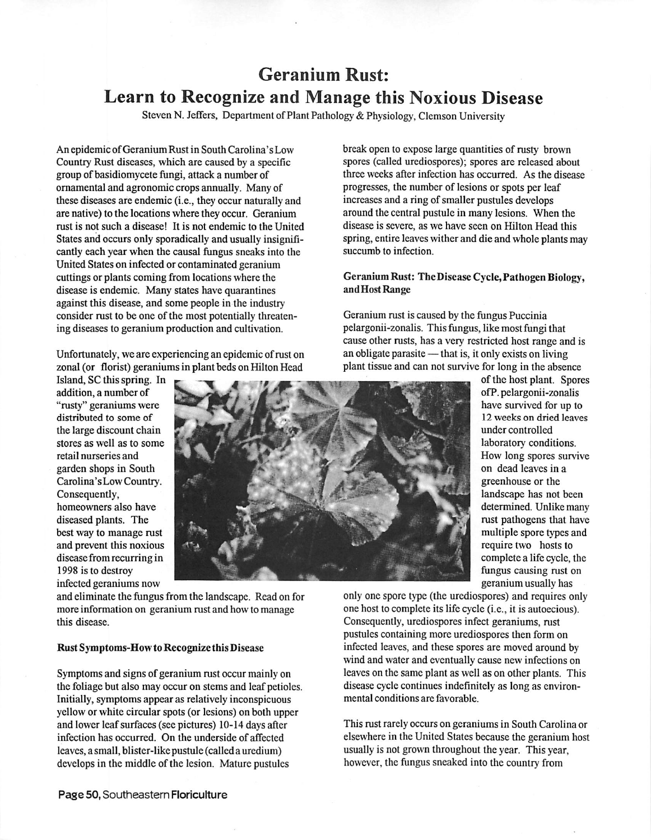# Geranium Rust: Learn to Recognize and Manage this Noxious Disease

Steven N. Jeffers, Department of Plant Pathology & Physiology, Clemson University

An epidemic ofGeranium Rust in South Carolina's Low Country Rust diseases, which are caused by a specific group of basidiomycete fungi, attack a number of ornamental and agronomic crops annually. Many of these diseases are endemic (i.e., they occur naturally and are native) to the locations where they occur. Geranium rust is not such a disease! It is not endemic to the United States and occurs only sporadically and usually insignifi cantly each year when the causal fungus sneaks into the United States on infected or contaminated geranium cuttings or plants coming from locations where the disease is endemic. Many states have quarantines against this disease, and some people in the industry consider rust to be one of the most potentially threaten ing diseases to geranium production and cultivation.

Unfortunately, we are experiencing an epidemic of rust on zonal (or florist) geraniums in plant beds on Hilton Head

Island, SC thisspring. In ^ --« - **1f** addition, a number of "rusty" geraniums were distributed to some of the large discount chain stores as well as to some retail nurseries and garden shops in South Carolina'sLow Country. Consequently, homeowners also have diseased plants. The best way to manage rust and prevent this noxious disease from recurring in 1998 is to destroy infected geraniums now



and eliminate the fungus from the landscape. Read on for more information on geranium rust and how to manage this disease.

## *Rust Symptoms-Howto Recognize this* Disease

Symptoms and signs of geranium rust occur mainly on the foliage but also may occur on stems and leaf petioles. Initially, symptoms appear as relatively inconspicuous yellow or white circular spots (or lesions) on both upper and lower leaf surfaces (see pictures) 10-14 days after infection has occurred. On the underside of affected leaves, a small, blister-like pustule (called a uredium) develops in the middle of the lesion. Mature pustules

break open to expose large quantities of rusty brown spores (called urediospores); spores are released about three weeks after infection has occurred. As the disease progresses, the number of lesions or spots per leaf increasesand a ring of smaller pustules develops around the central pustule in many lesions. When the disease is severe, as we have seen on Hilton Head this spring, entire leaves wither and die and whole plants may succumb to infection.

## *Geranium Rust: The DiseaseCycle, Pathogen Biology, and Host Range*

Geranium rust is caused by the fungus Puccinia pelargonii-zonalis. This fungus, like mostfungi that cause other rusts, has a very restricted host range and is an obligate parasite — that is, it only exists on living plant tissue and can not survive for long in the absence

> of the host plant. Spores ofP. pelargonii-zonalis have survived for up to 12 weeks on dried leaves under controlled laboratory conditions. How long spores survive on dead leaves in a greenhouse or the landscape has not been determined. Unlike many rust pathogens that have multiple spore types and require two hosts to complete a life cycle, the fungus causing rust on geranium usually has

only one spore type (the urediospores) and requires only one host to complete its life cycle (i.e., it is autoecious). Consequently, urediospores infect geraniums, rust pustules containing more urediospores then form on infected leaves, and these spores are moved around by wind and water and eventually cause new infections on leaves on the same plant as well as on other plants. This disease cycle continues indefinitely as long as environ mental conditions are favorable.

This rust rarely occurs on geraniums in South Carolina or elsewhere in the United States because the geranium host usually is not grown throughout the year. This year, however, the fungus sneaked into the country from